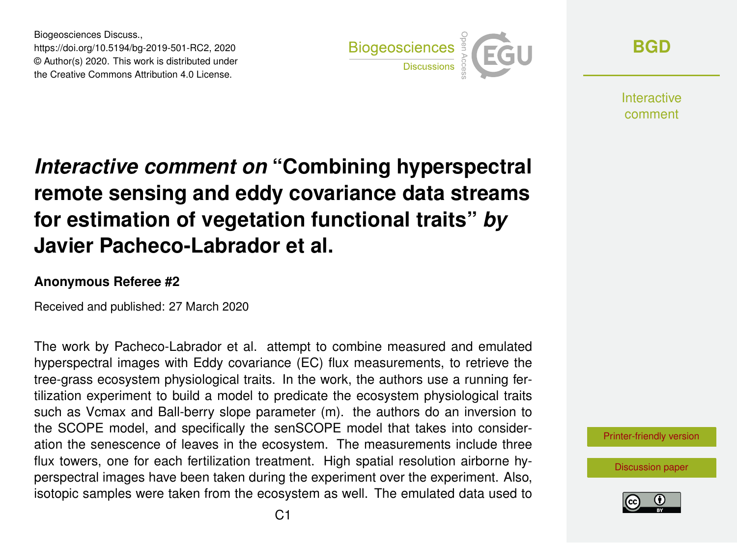Biogeosciences Discuss., https://doi.org/10.5194/bg-2019-501-RC2, 2020 © Author(s) 2020. This work is distributed under the Creative Commons Attribution 4.0 License.



**[BGD](https://www.biogeosciences-discuss.net/)**

**Interactive** comment

## *Interactive comment on* **"Combining hyperspectral remote sensing and eddy covariance data streams for estimation of vegetation functional traits"** *by* **Javier Pacheco-Labrador et al.**

## **Anonymous Referee #2**

Received and published: 27 March 2020

The work by Pacheco-Labrador et al. attempt to combine measured and emulated hyperspectral images with Eddy covariance (EC) flux measurements, to retrieve the tree-grass ecosystem physiological traits. In the work, the authors use a running fertilization experiment to build a model to predicate the ecosystem physiological traits such as Vcmax and Ball-berry slope parameter (m). the authors do an inversion to the SCOPE model, and specifically the senSCOPE model that takes into consideration the senescence of leaves in the ecosystem. The measurements include three flux towers, one for each fertilization treatment. High spatial resolution airborne hyperspectral images have been taken during the experiment over the experiment. Also, isotopic samples were taken from the ecosystem as well. The emulated data used to



[Discussion paper](https://www.biogeosciences-discuss.net/bg-2019-501)

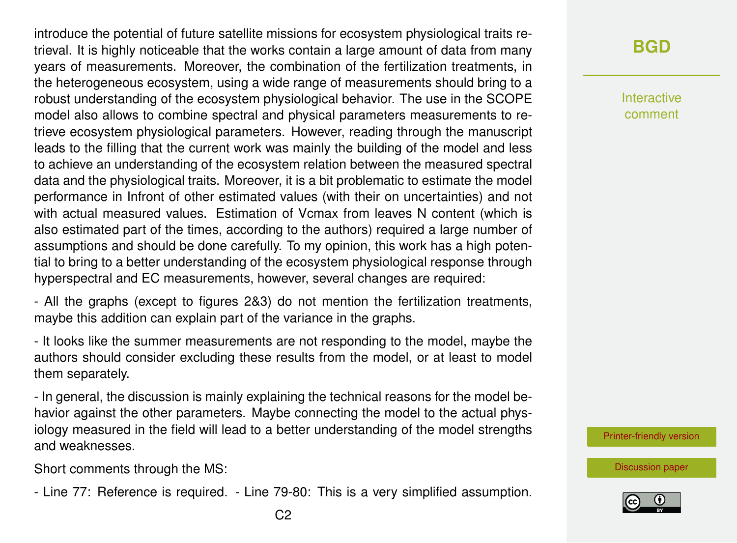introduce the potential of future satellite missions for ecosystem physiological traits retrieval. It is highly noticeable that the works contain a large amount of data from many years of measurements. Moreover, the combination of the fertilization treatments, in the heterogeneous ecosystem, using a wide range of measurements should bring to a robust understanding of the ecosystem physiological behavior. The use in the SCOPE model also allows to combine spectral and physical parameters measurements to retrieve ecosystem physiological parameters. However, reading through the manuscript leads to the filling that the current work was mainly the building of the model and less to achieve an understanding of the ecosystem relation between the measured spectral data and the physiological traits. Moreover, it is a bit problematic to estimate the model performance in Infront of other estimated values (with their on uncertainties) and not with actual measured values. Estimation of Vcmax from leaves N content (which is also estimated part of the times, according to the authors) required a large number of assumptions and should be done carefully. To my opinion, this work has a high potential to bring to a better understanding of the ecosystem physiological response through hyperspectral and EC measurements, however, several changes are required:

- All the graphs (except to figures 2&3) do not mention the fertilization treatments, maybe this addition can explain part of the variance in the graphs.

- It looks like the summer measurements are not responding to the model, maybe the authors should consider excluding these results from the model, or at least to model them separately.

- In general, the discussion is mainly explaining the technical reasons for the model behavior against the other parameters. Maybe connecting the model to the actual physiology measured in the field will lead to a better understanding of the model strengths and weaknesses.

Short comments through the MS:

- Line 77: Reference is required. - Line 79-80: This is a very simplified assumption.

Interactive comment

[Printer-friendly version](https://www.biogeosciences-discuss.net/bg-2019-501/bg-2019-501-RC2-print.pdf)

[Discussion paper](https://www.biogeosciences-discuss.net/bg-2019-501)